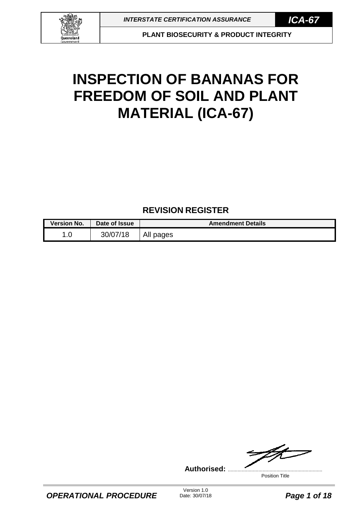

**PLANT BIOSECURITY & PRODUCT INTEGRITY**

# **INSPECTION OF BANANAS FOR FREEDOM OF SOIL AND PLANT MATERIAL (ICA-67)**

## **REVISION REGISTER**

| <b>Version No.</b> | Date of Issue | <b>Amendment Details</b> |
|--------------------|---------------|--------------------------|
| .0                 | 30/07/18      | All pages                |

ZL. **Authorised:** ....................................................................

Position Title

Version 1.0<br>Date: 30/07/18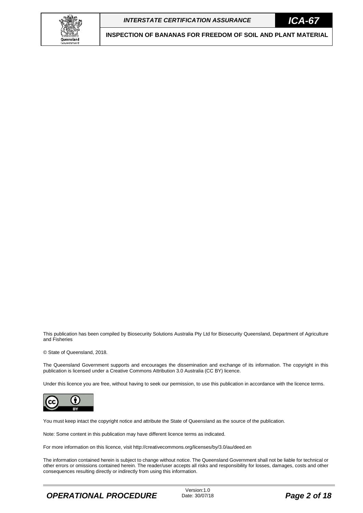



This publication has been compiled by Biosecurity Solutions Australia Pty Ltd for Biosecurity Queensland, Department of Agriculture and Fisheries

© State of Queensland, 2018.

The Queensland Government supports and encourages the dissemination and exchange of its information. The copyright in this publication is licensed under a Creative Commons Attribution 3.0 Australia (CC BY) licence.

Under this licence you are free, without having to seek our permission, to use this publication in accordance with the licence terms.



You must keep intact the copyright notice and attribute the State of Queensland as the source of the publication.

Note: Some content in this publication may have different licence terms as indicated.

For more information on this licence, visit http://creativecommons.org/licenses/by/3.0/au/deed.en

The information contained herein is subject to change without notice. The Queensland Government shall not be liable for technical or other errors or omissions contained herein. The reader/user accepts all risks and responsibility for losses, damages, costs and other consequences resulting directly or indirectly from using this information.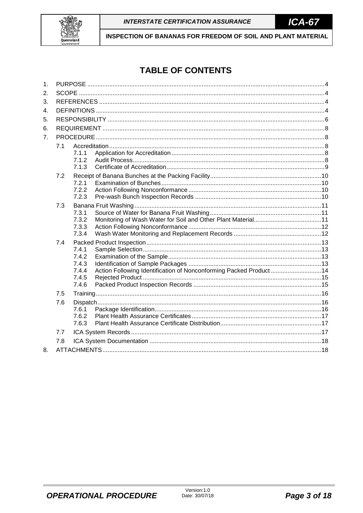

## **TABLE OF CONTENTS**

| 1. |     |                |                                                                   |  |  |  |  |
|----|-----|----------------|-------------------------------------------------------------------|--|--|--|--|
| 2. |     |                |                                                                   |  |  |  |  |
| 3. |     |                |                                                                   |  |  |  |  |
| 4. |     |                |                                                                   |  |  |  |  |
| 5. |     |                |                                                                   |  |  |  |  |
| 6. |     |                |                                                                   |  |  |  |  |
| 7. |     |                |                                                                   |  |  |  |  |
|    | 7.1 |                |                                                                   |  |  |  |  |
|    |     | 7.1.1          |                                                                   |  |  |  |  |
|    |     | 7.1.2          |                                                                   |  |  |  |  |
|    |     | 7.1.3          |                                                                   |  |  |  |  |
|    | 7.2 |                |                                                                   |  |  |  |  |
|    |     | 7.2.1          |                                                                   |  |  |  |  |
|    |     | 7.2.2          |                                                                   |  |  |  |  |
|    |     | 7.2.3          |                                                                   |  |  |  |  |
|    | 7.3 |                |                                                                   |  |  |  |  |
|    |     | 7.3.1          |                                                                   |  |  |  |  |
|    |     | 7.3.2<br>7.3.3 |                                                                   |  |  |  |  |
|    |     | 7.3.4          |                                                                   |  |  |  |  |
|    | 7.4 |                |                                                                   |  |  |  |  |
|    |     | 7.4.1          |                                                                   |  |  |  |  |
|    |     | 7.4.2          |                                                                   |  |  |  |  |
|    |     | 7.4.3          |                                                                   |  |  |  |  |
|    |     | 7.4.4          | Action Following Identification of Nonconforming Packed Product14 |  |  |  |  |
|    |     | 7.4.5          |                                                                   |  |  |  |  |
|    |     | 7.4.6          |                                                                   |  |  |  |  |
|    | 7.5 |                |                                                                   |  |  |  |  |
|    | 7.6 |                |                                                                   |  |  |  |  |
|    |     | 7.6.1          |                                                                   |  |  |  |  |
|    |     | 7.6.2          |                                                                   |  |  |  |  |
|    |     | 7.6.3          |                                                                   |  |  |  |  |
|    | 7.7 |                |                                                                   |  |  |  |  |
|    | 7.8 |                |                                                                   |  |  |  |  |
| 8. |     |                |                                                                   |  |  |  |  |
|    |     |                |                                                                   |  |  |  |  |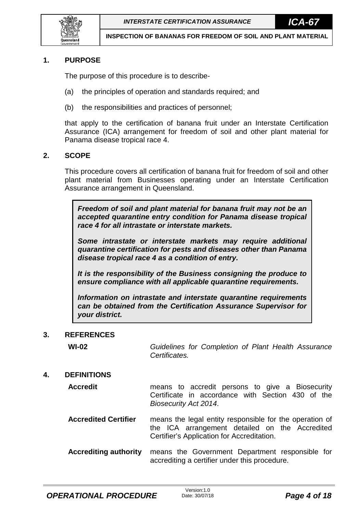

## <span id="page-3-0"></span>**1. PURPOSE**

The purpose of this procedure is to describe-

- (a) the principles of operation and standards required; and
- (b) the responsibilities and practices of personnel;

that apply to the certification of banana fruit under an Interstate Certification Assurance (ICA) arrangement for freedom of soil and other plant material for Panama disease tropical race 4.

### <span id="page-3-1"></span>**2. SCOPE**

This procedure covers all certification of banana fruit for freedom of soil and other plant material from Businesses operating under an Interstate Certification Assurance arrangement in Queensland.

*Freedom of soil and plant material for banana fruit may not be an accepted quarantine entry condition for Panama disease tropical race 4 for all intrastate or interstate markets.*

*Some intrastate or interstate markets may require additional quarantine certification for pests and diseases other than Panama disease tropical race 4 as a condition of entry.*

*It is the responsibility of the Business consigning the produce to ensure compliance with all applicable quarantine requirements.*

*Information on intrastate and interstate quarantine requirements can be obtained from the Certification Assurance Supervisor for your district.*

### <span id="page-3-2"></span>**3. REFERENCES**

**WI-02** *Guidelines for Completion of Plant Health Assurance Certificates.* 

## <span id="page-3-3"></span>**4. DEFINITIONS**

## **Accredit** means to accredit persons to give a Biosecurity Certificate in accordance with Section 430 of the *Biosecurity Act 2014*.

**Accredited Certifier** means the legal entity responsible for the operation of the ICA arrangement detailed on the Accredited Certifier's Application for Accreditation.

**Accrediting authority** means the Government Department responsible for accrediting a certifier under this procedure.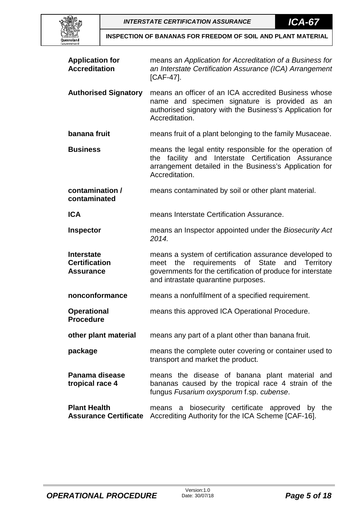



| <b>Application for</b><br><b>Accreditation</b>                | means an Application for Accreditation of a Business for<br>an Interstate Certification Assurance (ICA) Arrangement<br>$[CAF-47]$ .                                                                          |
|---------------------------------------------------------------|--------------------------------------------------------------------------------------------------------------------------------------------------------------------------------------------------------------|
| <b>Authorised Signatory</b>                                   | means an officer of an ICA accredited Business whose<br>name and specimen signature is provided as an<br>authorised signatory with the Business's Application for<br>Accreditation.                          |
| banana fruit                                                  | means fruit of a plant belonging to the family Musaceae.                                                                                                                                                     |
| <b>Business</b>                                               | means the legal entity responsible for the operation of<br>facility and Interstate Certification Assurance<br>the<br>arrangement detailed in the Business's Application for<br>Accreditation.                |
| contamination /<br>contaminated                               | means contaminated by soil or other plant material.                                                                                                                                                          |
| <b>ICA</b>                                                    | means Interstate Certification Assurance.                                                                                                                                                                    |
| <b>Inspector</b>                                              | means an Inspector appointed under the Biosecurity Act<br>2014.                                                                                                                                              |
| <b>Interstate</b><br><b>Certification</b><br><b>Assurance</b> | means a system of certification assurance developed to<br>meet the requirements of State and Territory<br>governments for the certification of produce for interstate<br>and intrastate quarantine purposes. |
| nonconformance                                                | means a nonfulfilment of a specified requirement.                                                                                                                                                            |
| <b>Operational</b><br><b>Procedure</b>                        | means this approved ICA Operational Procedure.                                                                                                                                                               |
| other plant material                                          | means any part of a plant other than banana fruit.                                                                                                                                                           |
| package                                                       | means the complete outer covering or container used to<br>transport and market the product.                                                                                                                  |
| Panama disease<br>tropical race 4                             | means the disease of banana plant material and<br>bananas caused by the tropical race 4 strain of the<br>fungus Fusarium oxysporum f.sp. cubense.                                                            |
| <b>Plant Health</b><br><b>Assurance Certificate</b>           | biosecurity certificate approved by the<br>means a<br>Accrediting Authority for the ICA Scheme [CAF-16].                                                                                                     |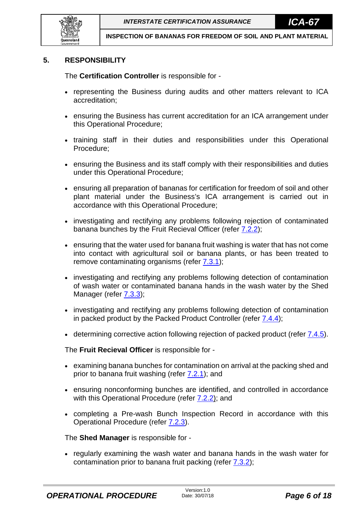

## <span id="page-5-0"></span>**5. RESPONSIBILITY**

The **Certification Controller** is responsible for -

- representing the Business during audits and other matters relevant to ICA accreditation;
- ensuring the Business has current accreditation for an ICA arrangement under this Operational Procedure;
- training staff in their duties and responsibilities under this Operational Procedure;
- ensuring the Business and its staff comply with their responsibilities and duties under this Operational Procedure;
- ensuring all preparation of bananas for certification for freedom of soil and other plant material under the Business's ICA arrangement is carried out in accordance with this Operational Procedure;
- investigating and rectifying any problems following rejection of contaminated banana bunches by the Fruit Recieval Officer (refer [7.2.2\)](#page-9-2);
- ensuring that the water used for banana fruit washing is water that has not come into contact with agricultural soil or banana plants, or has been treated to remove contaminating organisms (refer  $7.3.1$ );
- investigating and rectifying any problems following detection of contamination of wash water or contaminated banana hands in the wash water by the Shed Manager (refer **7.3.3**);
- investigating and rectifying any problems following detection of contamination in packed product by the Packed Product Controller (refer [7.4.4\)](#page-13-0);
- determining corrective action following rejection of packed product (refer  $7.4.5$ ).

The **Fruit Recieval Officer** is responsible for -

- examining banana bunches for contamination on arrival at the packing shed and prior to banana fruit washing (refer [7.2.1\)](#page-9-1); and
- ensuring nonconforming bunches are identified, and controlled in accordance with this Operational Procedure (refer [7.2.2\)](#page-9-2); and
- completing a Pre-wash Bunch Inspection Record in accordance with this Operational Procedure (refer [7.2.3\)](#page-9-3).

The **Shed Manager** is responsible for -

• regularly examining the wash water and banana hands in the wash water for contamination prior to banana fruit packing (refer  $7.3.2$ );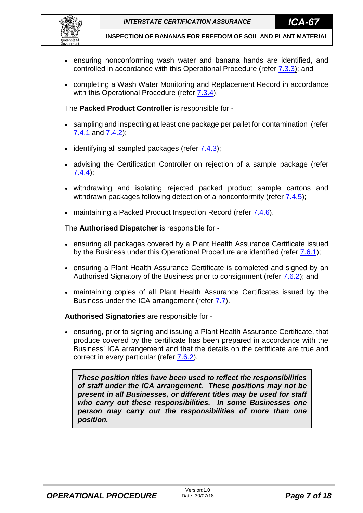

- ensuring nonconforming wash water and banana hands are identified, and controlled in accordance with this Operational Procedure (refer  $7.3.3$ ); and
- completing a Wash Water Monitoring and Replacement Record in accordance with this Operational Procedure (refer [7.3.4\)](#page-11-1).

The **Packed Product Controller** is responsible for -

- sampling and inspecting at least one package per pallet for contamination (refer [7.4.1](#page-12-1) and [7.4.2\)](#page-12-2);
- identifying all sampled packages (refer [7.4.3\)](#page-12-3);
- advising the Certification Controller on rejection of a sample package (refer [7.4.4\)](#page-13-0);
- withdrawing and isolating rejected packed product sample cartons and withdrawn packages following detection of a nonconformity (refer [7.4.5\)](#page-14-0);
- maintaining a Packed Product Inspection Record (refer  $7.4.6$ ).

The **Authorised Dispatcher** is responsible for -

- ensuring all packages covered by a Plant Health Assurance Certificate issued by the Business under this Operational Procedure are identified (refer [7.6.1\)](#page-15-2);
- ensuring a Plant Health Assurance Certificate is completed and signed by an Authorised Signatory of the Business prior to consignment (refer [7.6.2\)](#page-16-0); and
- maintaining copies of all Plant Health Assurance Certificates issued by the Business under the ICA arrangement (refer [7.7\)](#page-16-2).

## **Authorised Signatories** are responsible for -

• ensuring, prior to signing and issuing a Plant Health Assurance Certificate, that produce covered by the certificate has been prepared in accordance with the Business' ICA arrangement and that the details on the certificate are true and correct in every particular (refer [7.6.2\)](#page-16-0).

*These position titles have been used to reflect the responsibilities of staff under the ICA arrangement. These positions may not be present in all Businesses, or different titles may be used for staff who carry out these responsibilities. In some Businesses one person may carry out the responsibilities of more than one position.*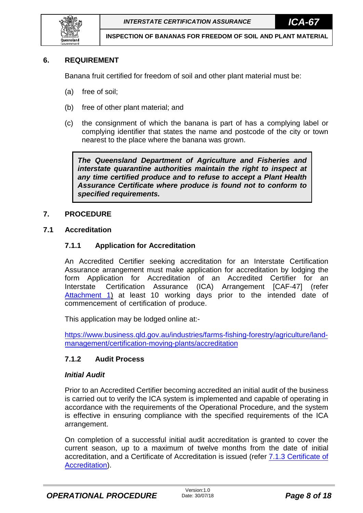

## <span id="page-7-0"></span>**6. REQUIREMENT**

Banana fruit certified for freedom of soil and other plant material must be:

- (a) free of soil;
- (b) free of other plant material; and
- (c) the consignment of which the banana is part of has a complying label or complying identifier that states the name and postcode of the city or town nearest to the place where the banana was grown.

*The Queensland Department of Agriculture and Fisheries and interstate quarantine authorities maintain the right to inspect at any time certified produce and to refuse to accept a Plant Health Assurance Certificate where produce is found not to conform to specified requirements.*

### <span id="page-7-1"></span>**7. PROCEDURE**

### <span id="page-7-3"></span><span id="page-7-2"></span>**7.1 Accreditation**

## **7.1.1 Application for Accreditation**

An Accredited Certifier seeking accreditation for an Interstate Certification Assurance arrangement must make application for accreditation by lodging the form Application for Accreditation of an Accredited Certifier for an Interstate Certification Assurance (ICA) Arrangement [CAF-47] (refer [Attachment 1\)](#page-18-0) at least 10 working days prior to the intended date of commencement of certification of produce.

This application may be lodged online at:-

[https://www.business.qld.gov.au/industries/farms-fishing-forestry/agriculture/land](https://www.business.qld.gov.au/industries/farms-fishing-forestry/agriculture/land-management/certification-moving-plants/accreditation)[management/certification-moving-plants/accreditation](https://www.business.qld.gov.au/industries/farms-fishing-forestry/agriculture/land-management/certification-moving-plants/accreditation)

## <span id="page-7-4"></span>**7.1.2 Audit Process**

### *Initial Audit*

Prior to an Accredited Certifier becoming accredited an initial audit of the business is carried out to verify the ICA system is implemented and capable of operating in accordance with the requirements of the Operational Procedure, and the system is effective in ensuring compliance with the specified requirements of the ICA arrangement.

On completion of a successful initial audit accreditation is granted to cover the current season, up to a maximum of twelve months from the date of initial accreditation, and a Certificate of Accreditation is issued (refer [7.1.3](#page-8-0) [Certificate of](#page-8-0)  [Accreditation\)](#page-8-0).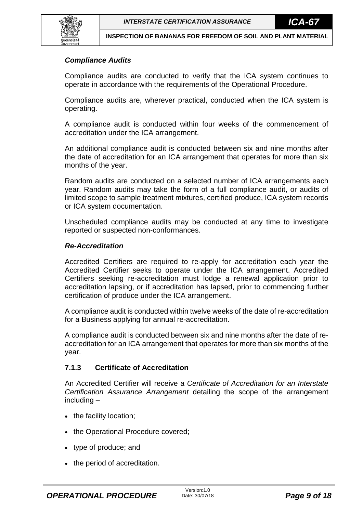

## *Compliance Audits*

Compliance audits are conducted to verify that the ICA system continues to operate in accordance with the requirements of the Operational Procedure.

Compliance audits are, wherever practical, conducted when the ICA system is operating.

A compliance audit is conducted within four weeks of the commencement of accreditation under the ICA arrangement.

An additional compliance audit is conducted between six and nine months after the date of accreditation for an ICA arrangement that operates for more than six months of the year.

Random audits are conducted on a selected number of ICA arrangements each year. Random audits may take the form of a full compliance audit, or audits of limited scope to sample treatment mixtures, certified produce, ICA system records or ICA system documentation.

Unscheduled compliance audits may be conducted at any time to investigate reported or suspected non-conformances.

### *Re-Accreditation*

Accredited Certifiers are required to re-apply for accreditation each year the Accredited Certifier seeks to operate under the ICA arrangement. Accredited Certifiers seeking re-accreditation must lodge a renewal application prior to accreditation lapsing, or if accreditation has lapsed, prior to commencing further certification of produce under the ICA arrangement.

A compliance audit is conducted within twelve weeks of the date of re-accreditation for a Business applying for annual re-accreditation.

A compliance audit is conducted between six and nine months after the date of reaccreditation for an ICA arrangement that operates for more than six months of the year.

## <span id="page-8-0"></span>**7.1.3 Certificate of Accreditation**

An Accredited Certifier will receive a *Certificate of Accreditation for an Interstate Certification Assurance Arrangement* detailing the scope of the arrangement including –

- the facility location;
- the Operational Procedure covered;
- type of produce; and
- the period of accreditation.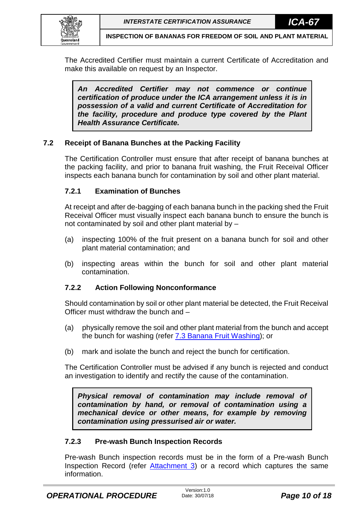

The Accredited Certifier must maintain a current Certificate of Accreditation and make this available on request by an Inspector.

*An Accredited Certifier may not commence or continue certification of produce under the ICA arrangement unless it is in possession of a valid and current Certificate of Accreditation for the facility, procedure and produce type covered by the Plant Health Assurance Certificate.*

## <span id="page-9-0"></span>**7.2 Receipt of Banana Bunches at the Packing Facility**

The Certification Controller must ensure that after receipt of banana bunches at the packing facility, and prior to banana fruit washing, the Fruit Receival Officer inspects each banana bunch for contamination by soil and other plant material.

## <span id="page-9-1"></span>**7.2.1 Examination of Bunches**

At receipt and after de-bagging of each banana bunch in the packing shed the Fruit Receival Officer must visually inspect each banana bunch to ensure the bunch is not contaminated by soil and other plant material by –

- (a) inspecting 100% of the fruit present on a banana bunch for soil and other plant material contamination; and
- (b) inspecting areas within the bunch for soil and other plant material contamination.

## <span id="page-9-2"></span>**7.2.2 Action Following Nonconformance**

Should contamination by soil or other plant material be detected, the Fruit Receival Officer must withdraw the bunch and –

- (a) physically remove the soil and other plant material from the bunch and accept the bunch for washing (refer **7.3 Banana Fruit Washing**); or
- (b) mark and isolate the bunch and reject the bunch for certification.

The Certification Controller must be advised if any bunch is rejected and conduct an investigation to identify and rectify the cause of the contamination.

*Physical removal of contamination may include removal of contamination by hand, or removal of contamination using a mechanical device or other means, for example by removing contamination using pressurised air or water.*

## <span id="page-9-3"></span>**7.2.3 Pre-wash Bunch Inspection Records**

Pre-wash Bunch inspection records must be in the form of a Pre-wash Bunch Inspection Record (refer [Attachment 3\)](#page-21-0) or a record which captures the same information.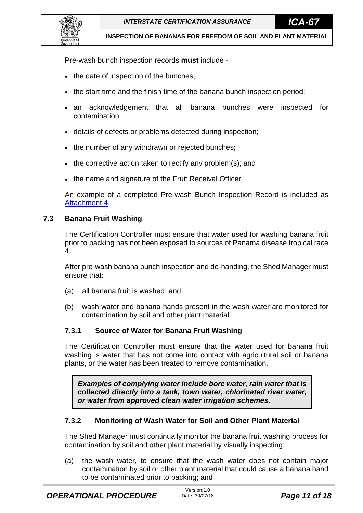

Pre-wash bunch inspection records **must** include -

- the date of inspection of the bunches;
- the start time and the finish time of the banana bunch inspection period;
- an acknowledgement that all banana bunches were inspected for contamination;
- details of defects or problems detected during inspection;
- the number of any withdrawn or rejected bunches;
- the corrective action taken to rectify any problem(s); and
- the name and signature of the Fruit Receival Officer.

An example of a completed Pre-wash Bunch Inspection Record is included as [Attachment 4.](#page-22-0)

### <span id="page-10-0"></span>**7.3 Banana Fruit Washing**

The Certification Controller must ensure that water used for washing banana fruit prior to packing has not been exposed to sources of Panama disease tropical race 4.

After pre-wash banana bunch inspection and de-handing, the Shed Manager must ensure that:

- (a) all banana fruit is washed; and
- (b) wash water and banana hands present in the wash water are monitored for contamination by soil and other plant material.

## <span id="page-10-1"></span>**7.3.1 Source of Water for Banana Fruit Washing**

The Certification Controller must ensure that the water used for banana fruit washing is water that has not come into contact with agricultural soil or banana plants, or the water has been treated to remove contamination.

*Examples of complying water include bore water, rain water that is collected directly into a tank, town water, chlorinated river water, or water from approved clean water irrigation schemes.* 

## <span id="page-10-2"></span>**7.3.2 Monitoring of Wash Water for Soil and Other Plant Material**

The Shed Manager must continually monitor the banana fruit washing process for contamination by soil and other plant material by visually inspecting:

(a) the wash water, to ensure that the wash water does not contain major contamination by soil or other plant material that could cause a banana hand to be contaminated prior to packing; and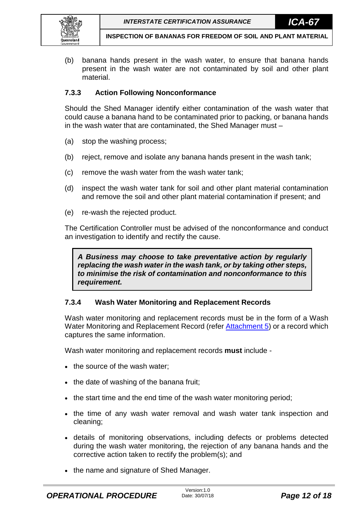

(b) banana hands present in the wash water, to ensure that banana hands present in the wash water are not contaminated by soil and other plant material.

## <span id="page-11-0"></span>**7.3.3 Action Following Nonconformance**

Should the Shed Manager identify either contamination of the wash water that could cause a banana hand to be contaminated prior to packing, or banana hands in the wash water that are contaminated, the Shed Manager must –

- (a) stop the washing process;
- (b) reject, remove and isolate any banana hands present in the wash tank;
- (c) remove the wash water from the wash water tank;
- (d) inspect the wash water tank for soil and other plant material contamination and remove the soil and other plant material contamination if present; and
- (e) re-wash the rejected product.

The Certification Controller must be advised of the nonconformance and conduct an investigation to identify and rectify the cause.

*A Business may choose to take preventative action by regularly replacing the wash water in the wash tank, or by taking other steps, to minimise the risk of contamination and nonconformance to this requirement.* 

## <span id="page-11-1"></span>**7.3.4 Wash Water Monitoring and Replacement Records**

Wash water monitoring and replacement records must be in the form of a Wash Water Monitoring and Replacement Record (refer [Attachment 5\)](#page-23-0) or a record which captures the same information.

Wash water monitoring and replacement records **must** include -

- the source of the wash water;
- the date of washing of the banana fruit;
- the start time and the end time of the wash water monitoring period;
- the time of any wash water removal and wash water tank inspection and cleaning;
- details of monitoring observations, including defects or problems detected during the wash water monitoring, the rejection of any banana hands and the corrective action taken to rectify the problem(s); and
- the name and signature of Shed Manager.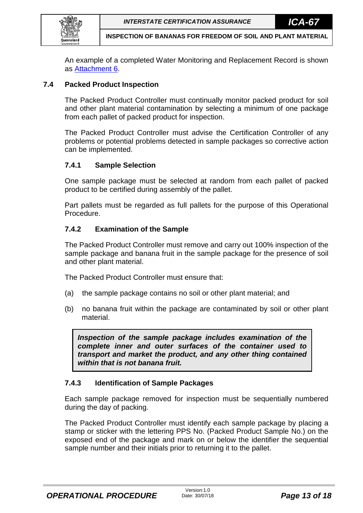

An example of a completed Water Monitoring and Replacement Record is shown as [Attachment 6.](#page-24-0)

## <span id="page-12-0"></span>**7.4 Packed Product Inspection**

The Packed Product Controller must continually monitor packed product for soil and other plant material contamination by selecting a minimum of one package from each pallet of packed product for inspection.

The Packed Product Controller must advise the Certification Controller of any problems or potential problems detected in sample packages so corrective action can be implemented.

## <span id="page-12-1"></span>**7.4.1 Sample Selection**

One sample package must be selected at random from each pallet of packed product to be certified during assembly of the pallet.

Part pallets must be regarded as full pallets for the purpose of this Operational Procedure.

## <span id="page-12-2"></span>**7.4.2 Examination of the Sample**

The Packed Product Controller must remove and carry out 100% inspection of the sample package and banana fruit in the sample package for the presence of soil and other plant material.

The Packed Product Controller must ensure that:

- (a) the sample package contains no soil or other plant material; and
- (b) no banana fruit within the package are contaminated by soil or other plant material.

*Inspection of the sample package includes examination of the complete inner and outer surfaces of the container used to transport and market the product, and any other thing contained within that is not banana fruit.*

## <span id="page-12-3"></span>**7.4.3 Identification of Sample Packages**

Each sample package removed for inspection must be sequentially numbered during the day of packing.

The Packed Product Controller must identify each sample package by placing a stamp or sticker with the lettering PPS No. (Packed Product Sample No.) on the exposed end of the package and mark on or below the identifier the sequential sample number and their initials prior to returning it to the pallet.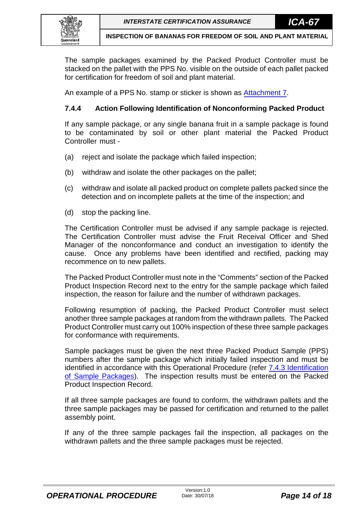

The sample packages examined by the Packed Product Controller must be stacked on the pallet with the PPS No. visible on the outside of each pallet packed for certification for freedom of soil and plant material.

An example of a PPS No. stamp or sticker is shown as [Attachment 7.](#page-25-0)

## <span id="page-13-0"></span>**7.4.4 Action Following Identification of Nonconforming Packed Product**

If any sample package, or any single banana fruit in a sample package is found to be contaminated by soil or other plant material the Packed Product Controller must -

- (a) reject and isolate the package which failed inspection;
- (b) withdraw and isolate the other packages on the pallet;
- (c) withdraw and isolate all packed product on complete pallets packed since the detection and on incomplete pallets at the time of the inspection; and
- (d) stop the packing line.

The Certification Controller must be advised if any sample package is rejected. The Certification Controller must advise the Fruit Receival Officer and Shed Manager of the nonconformance and conduct an investigation to identify the cause. Once any problems have been identified and rectified, packing may recommence on to new pallets.

The Packed Product Controller must note in the "Comments" section of the Packed Product Inspection Record next to the entry for the sample package which failed inspection, the reason for failure and the number of withdrawn packages.

Following resumption of packing, the Packed Product Controller must select another three sample packages at random from the withdrawn pallets. The Packed Product Controller must carry out 100% inspection of these three sample packages for conformance with requirements.

Sample packages must be given the next three Packed Product Sample (PPS) numbers after the sample package which initially failed inspection and must be identified in accordance with this Operational Procedure (refer **7.4.3 Identification** [of Sample Packages\)](#page-12-3). The inspection results must be entered on the Packed Product Inspection Record.

If all three sample packages are found to conform, the withdrawn pallets and the three sample packages may be passed for certification and returned to the pallet assembly point.

If any of the three sample packages fail the inspection, all packages on the withdrawn pallets and the three sample packages must be rejected.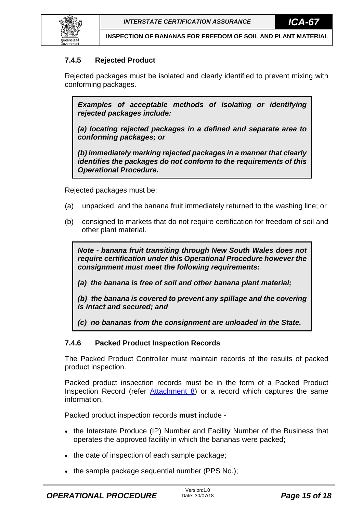

## <span id="page-14-0"></span>**7.4.5 Rejected Product**

Rejected packages must be isolated and clearly identified to prevent mixing with conforming packages.

*Examples of acceptable methods of isolating or identifying rejected packages include:*

*(a) locating rejected packages in a defined and separate area to conforming packages; or*

*(b) immediately marking rejected packages in a manner that clearly identifies the packages do not conform to the requirements of this Operational Procedure.* 

Rejected packages must be:

- (a) unpacked, and the banana fruit immediately returned to the washing line; or
- (b) consigned to markets that do not require certification for freedom of soil and other plant material.

*Note - banana fruit transiting through New South Wales does not require certification under this Operational Procedure however the consignment must meet the following requirements:*

*(a) the banana is free of soil and other banana plant material;*

*(b) the banana is covered to prevent any spillage and the covering is intact and secured; and*

*(c) no bananas from the consignment are unloaded in the State.*

## <span id="page-14-1"></span>**7.4.6 Packed Product Inspection Records**

The Packed Product Controller must maintain records of the results of packed product inspection.

Packed product inspection records must be in the form of a Packed Product Inspection Record (refer [Attachment 8\)](#page-26-0) or a record which captures the same information.

Packed product inspection records **must** include -

- the Interstate Produce (IP) Number and Facility Number of the Business that operates the approved facility in which the bananas were packed;
- the date of inspection of each sample package;
- the sample package sequential number (PPS No.);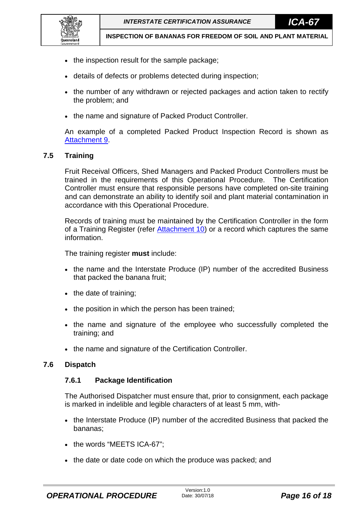

- the inspection result for the sample package;
- details of defects or problems detected during inspection;
- the number of any withdrawn or rejected packages and action taken to rectify the problem; and
- the name and signature of Packed Product Controller.

An example of a completed Packed Product Inspection Record is shown as [Attachment 9.](#page-27-0)

### <span id="page-15-0"></span>**7.5 Training**

Fruit Receival Officers, Shed Managers and Packed Product Controllers must be trained in the requirements of this Operational Procedure. The Certification Controller must ensure that responsible persons have completed on-site training and can demonstrate an ability to identify soil and plant material contamination in accordance with this Operational Procedure.

Records of training must be maintained by the Certification Controller in the form of a Training Register (refer [Attachment 10\)](#page-28-0) or a record which captures the same information.

The training register **must** include:

- the name and the Interstate Produce (IP) number of the accredited Business that packed the banana fruit;
- the date of training;
- the position in which the person has been trained;
- the name and signature of the employee who successfully completed the training; and
- the name and signature of the Certification Controller.

### <span id="page-15-2"></span><span id="page-15-1"></span>**7.6 Dispatch**

### **7.6.1 Package Identification**

The Authorised Dispatcher must ensure that, prior to consignment, each package is marked in indelible and legible characters of at least 5 mm, with-

- the Interstate Produce (IP) number of the accredited Business that packed the bananas;
- the words "MEETS ICA-67":
- the date or date code on which the produce was packed; and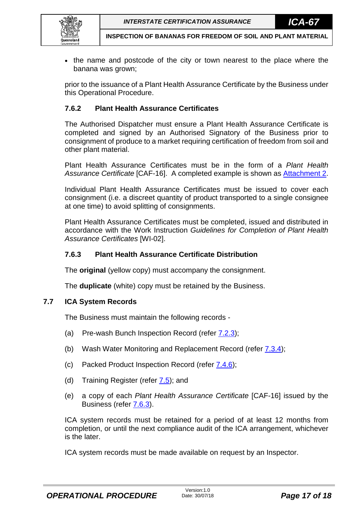

• the name and postcode of the city or town nearest to the place where the banana was grown;

prior to the issuance of a Plant Health Assurance Certificate by the Business under this Operational Procedure.

## <span id="page-16-0"></span>**7.6.2 Plant Health Assurance Certificates**

The Authorised Dispatcher must ensure a Plant Health Assurance Certificate is completed and signed by an Authorised Signatory of the Business prior to consignment of produce to a market requiring certification of freedom from soil and other plant material.

Plant Health Assurance Certificates must be in the form of a *Plant Health Assurance Certificate* [CAF-16]. A completed example is shown as [Attachment 2.](#page-20-0)

Individual Plant Health Assurance Certificates must be issued to cover each consignment (i.e. a discreet quantity of product transported to a single consignee at one time) to avoid splitting of consignments.

Plant Health Assurance Certificates must be completed, issued and distributed in accordance with the Work Instruction *Guidelines for Completion of Plant Health Assurance Certificates* [WI-02].

## <span id="page-16-1"></span>**7.6.3 Plant Health Assurance Certificate Distribution**

The **original** (yellow copy) must accompany the consignment.

The **duplicate** (white) copy must be retained by the Business.

## <span id="page-16-2"></span>**7.7 ICA System Records**

The Business must maintain the following records -

- (a) Pre-wash Bunch Inspection Record (refer [7.2.3\)](#page-9-3);
- (b) Wash Water Monitoring and Replacement Record (refer  $(7.3.4)$ ;
- (c) Packed Product Inspection Record (refer [7.4.6\)](#page-14-1);
- (d) Training Register (refer  $7.5$ ); and
- (e) a copy of each *Plant Health Assurance Certificate* [CAF-16] issued by the Business (refer [7.6.3\)](#page-16-1).

ICA system records must be retained for a period of at least 12 months from completion, or until the next compliance audit of the ICA arrangement, whichever is the later.

ICA system records must be made available on request by an Inspector.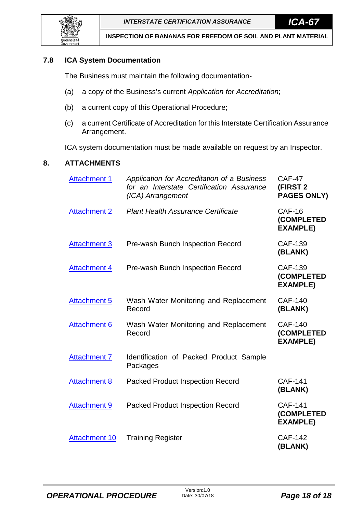## <span id="page-17-0"></span>**7.8 ICA System Documentation**

The Business must maintain the following documentation-

- (a) a copy of the Business's current *Application for Accreditation*;
- (b) a current copy of this Operational Procedure;
- (c) a current Certificate of Accreditation for this Interstate Certification Assurance Arrangement.

ICA system documentation must be made available on request by an Inspector.

## <span id="page-17-1"></span>**8. ATTACHMENTS**

| <b>Attachment 1</b>  | Application for Accreditation of a Business<br>for an Interstate Certification Assurance<br>(ICA) Arrangement | <b>CAF-47</b><br><b>(FIRST 2)</b><br><b>PAGES ONLY)</b> |
|----------------------|---------------------------------------------------------------------------------------------------------------|---------------------------------------------------------|
| <b>Attachment 2</b>  | <b>Plant Health Assurance Certificate</b>                                                                     | <b>CAF-16</b><br>(COMPLETED<br><b>EXAMPLE)</b>          |
| <b>Attachment 3</b>  | Pre-wash Bunch Inspection Record                                                                              | <b>CAF-139</b><br>(BLANK)                               |
| <b>Attachment 4</b>  | Pre-wash Bunch Inspection Record                                                                              | <b>CAF-139</b><br>(COMPLETED<br><b>EXAMPLE)</b>         |
| <b>Attachment 5</b>  | Wash Water Monitoring and Replacement<br>Record                                                               | <b>CAF-140</b><br>(BLANK)                               |
| <b>Attachment 6</b>  | Wash Water Monitoring and Replacement<br>Record                                                               | <b>CAF-140</b><br>(COMPLETED<br><b>EXAMPLE)</b>         |
| <b>Attachment 7</b>  | Identification of Packed Product Sample<br>Packages                                                           |                                                         |
| <b>Attachment 8</b>  | <b>Packed Product Inspection Record</b>                                                                       | <b>CAF-141</b><br>(BLANK)                               |
| <b>Attachment 9</b>  | <b>Packed Product Inspection Record</b>                                                                       | <b>CAF-141</b><br>(COMPLETED<br><b>EXAMPLE)</b>         |
| <b>Attachment 10</b> | <b>Training Register</b>                                                                                      | <b>CAF-142</b><br>(BLANK)                               |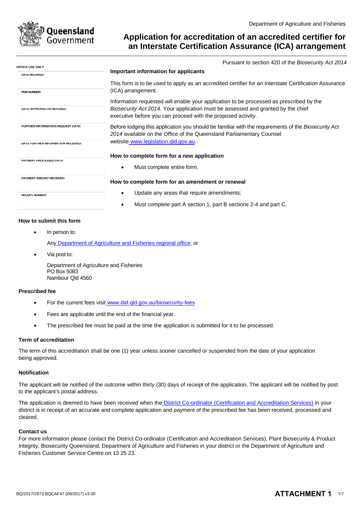<span id="page-18-0"></span>

*OFFICE USE ONLY*

## **Application for accreditation of an accredited certifier for an Interstate Certification Assurance (ICA) arrangement**

Pursuant to section 420 of the *Biosecurity Act 2014*

| FFIUE USE UNL I                          | Important information for applicants                                                                                                                                        |
|------------------------------------------|-----------------------------------------------------------------------------------------------------------------------------------------------------------------------------|
| <b>DATE RECEIVED:</b>                    |                                                                                                                                                                             |
| <b>PHIS NUMBER:</b>                      | This form is to be used to apply as an accredited certifier for an Interstate Certification Assurance<br>(ICA) arrangement.                                                 |
|                                          | Information requested will enable your application to be processed as prescribed by the                                                                                     |
| <b>DA I E APPROVED OR REFUSED:</b>       | Biosecurity Act 2014. Your application must be assessed and granted by the chief<br>executive before you can proceed with the proposed activity.                            |
| <b>FURTHER INFORMATION REQUEST DATE:</b> | Before lodging this application you should be familiar with the requirements of the Biosecurity Act<br>2014 available on the Office of the Queensland Parliamentary Counsel |
| DATE FURTHER INFORMATION RECEIVED:       | website www.legislation.gld.gov.au.                                                                                                                                         |
|                                          | How to complete form for a new application                                                                                                                                  |
| PAYMENT PROCESSED DATE:                  | Must complete entire form.<br>$\bullet$                                                                                                                                     |
| <b>PAYMENT AMOUNT RECEIVED:</b>          | How to complete form for an amendment or renewal                                                                                                                            |
| <b>RECEIPT NUMBER:</b>                   | Update any areas that require amendments;                                                                                                                                   |
|                                          | Must complete part A section 1, part B sections 2-4 and part C.                                                                                                             |
|                                          |                                                                                                                                                                             |

#### **How to submit this form**

In person to:

Any Department of Agriculture and Fisheries regional office; or

• Via post to:

Department of Agriculture and Fisheries PO Box 5083 Nambour Qld 4560

### **Prescribed fee**

- For the current fees visit [www.daf.qld.gov.au/biosecurity-fees](http://www.daf.qld.gov.au/biosecurity-fees)
- Fees are applicable until the end of the financial year.
- The prescribed fee must be paid at the time the application is submitted for it to be processed.

#### **Term of accreditation**

The term of this accreditation shall be one (1) year unless sooner cancelled or suspended from the date of your application being approved.

#### **Notification**

The applicant will be notified of the outcome within thirty (30) days of receipt of the application. The applicant will be notified by post to the applicant's postal address.

The application is deemed to have been received when the District Co-ordinator (Certification and Accreditation Services) in your district is in receipt of an accurate and complete application and payment of the prescribed fee has been received, processed and cleared.

#### **Contact us**

For more information please contact the District Co-ordinator (Certification and Accreditation Services), Plant Biosecurity & Product Integrity, Biosecurity Queensland, Department of Agriculture and Fisheries in your district or the Department of Agriculture and Fisheries Customer Service Centre on 13 25 23.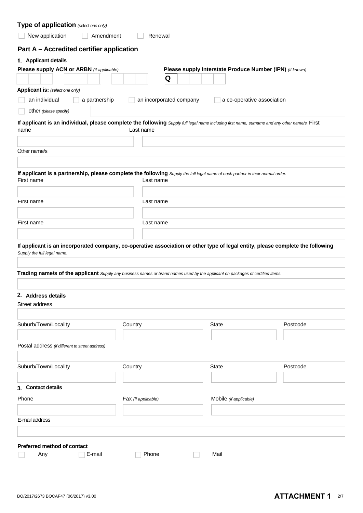| Type of application (select one only)                                                                                                                         |                         |                                                          |                            |
|---------------------------------------------------------------------------------------------------------------------------------------------------------------|-------------------------|----------------------------------------------------------|----------------------------|
| New application                                                                                                                                               | Amendment<br>Renewal    |                                                          |                            |
| Part A - Accredited certifier application                                                                                                                     |                         |                                                          |                            |
| 1. Applicant details                                                                                                                                          |                         |                                                          |                            |
| Please supply ACN or ARBN (if applicable)                                                                                                                     |                         | Please supply Interstate Produce Number (IPN) (if known) |                            |
|                                                                                                                                                               | Q                       |                                                          |                            |
| Applicant is: (select one only)                                                                                                                               |                         |                                                          |                            |
| an individual<br>a partnership                                                                                                                                | an incorporated company |                                                          | a co-operative association |
| other (please specify)                                                                                                                                        |                         |                                                          |                            |
| If applicant is an individual, please complete the following Supply full legal name including first name, surname and any other name/s. First                 |                         |                                                          |                            |
| name                                                                                                                                                          | Last name               |                                                          |                            |
|                                                                                                                                                               |                         |                                                          |                            |
| Other name/s                                                                                                                                                  |                         |                                                          |                            |
|                                                                                                                                                               |                         |                                                          |                            |
| If applicant is a partnership, please complete the following Supply the full legal name of each partner in their normal order.<br>First name                  | Last name               |                                                          |                            |
|                                                                                                                                                               |                         |                                                          |                            |
| <b>First name</b>                                                                                                                                             | Last name               |                                                          |                            |
|                                                                                                                                                               |                         |                                                          |                            |
| <b>First name</b>                                                                                                                                             | Last name               |                                                          |                            |
| Supply the full legal name.<br>Trading name/s of the applicant Supply any business names or brand names used by the applicant on packages of certified items. |                         |                                                          |                            |
|                                                                                                                                                               |                         |                                                          |                            |
| 2. Address details<br>Street address                                                                                                                          |                         |                                                          |                            |
|                                                                                                                                                               |                         |                                                          |                            |
| Suburb/Town/Locality                                                                                                                                          | Country                 | <b>State</b>                                             | Postcode                   |
|                                                                                                                                                               |                         |                                                          |                            |
| Postal address (if different to street address)                                                                                                               |                         |                                                          |                            |
|                                                                                                                                                               |                         |                                                          |                            |
| Suburb/Town/Locality                                                                                                                                          | Country                 | <b>State</b>                                             | Postcode                   |
|                                                                                                                                                               |                         |                                                          |                            |
| 3. Contact details                                                                                                                                            |                         |                                                          |                            |
| Phone                                                                                                                                                         | Fax (if applicable)     | Mobile (if applicable)                                   |                            |
|                                                                                                                                                               |                         |                                                          |                            |
| <b>L-mail address</b>                                                                                                                                         |                         |                                                          |                            |
|                                                                                                                                                               |                         |                                                          |                            |
| Preferred method of contact                                                                                                                                   |                         |                                                          |                            |
| E-mail<br>Any                                                                                                                                                 | Phone                   | Mail                                                     |                            |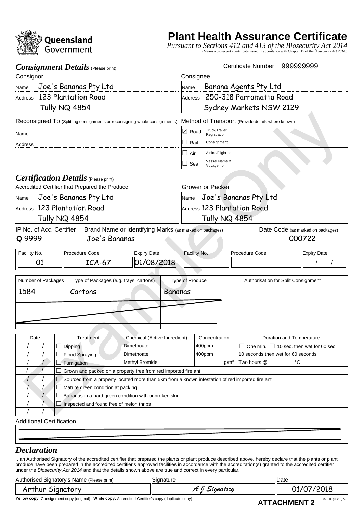<span id="page-20-0"></span>

## **Plant Health Assurance Certificate**

*Pursuant to Sections 412 and 413 of the Biosecurity Act 2014* (Means a biosecurity certificate issued in accordance with Chapter 15 of the *Biosecurity Act 2014*.)

|                                                                                                 |                      | <b>Consignment Details</b> (Please print)                                  |                                                         |                |                                                   |                               |                             | Certificate Number                                  | 999999999                         |                    |  |  |
|-------------------------------------------------------------------------------------------------|----------------------|----------------------------------------------------------------------------|---------------------------------------------------------|----------------|---------------------------------------------------|-------------------------------|-----------------------------|-----------------------------------------------------|-----------------------------------|--------------------|--|--|
| Consignor                                                                                       |                      |                                                                            |                                                         |                | Consignee                                         |                               |                             |                                                     |                                   |                    |  |  |
| Name                                                                                            |                      | Joe's Bananas Pty Ltd                                                      |                                                         |                |                                                   | Banana Agents Pty Ltd<br>Name |                             |                                                     |                                   |                    |  |  |
|                                                                                                 |                      | Address 123 Plantation Road                                                |                                                         |                | 250-318 Parramatta Road<br><b>Address</b>         |                               |                             |                                                     |                                   |                    |  |  |
|                                                                                                 |                      | <b>Tully NQ 4854</b>                                                       |                                                         |                |                                                   |                               |                             | Sydney Markets NSW 2129                             |                                   |                    |  |  |
|                                                                                                 |                      | Reconsigned To (Splitting consignments or reconsigning whole consignments) |                                                         |                | Method of Transport (Provide details where known) |                               |                             |                                                     |                                   |                    |  |  |
| Name                                                                                            |                      |                                                                            |                                                         |                | Truck/Trailer<br>$\boxtimes$ Road<br>Registration |                               |                             |                                                     |                                   |                    |  |  |
| <b>Address</b>                                                                                  |                      |                                                                            |                                                         |                | $\Box$ Rail<br>Consignment                        |                               |                             |                                                     |                                   |                    |  |  |
|                                                                                                 |                      |                                                                            |                                                         |                | $\Box$ Air<br>Airline/Flight no.                  |                               |                             |                                                     |                                   |                    |  |  |
|                                                                                                 |                      |                                                                            |                                                         |                | ∟l Sea                                            | Vessel Name &<br>Voyage no.   |                             |                                                     |                                   |                    |  |  |
|                                                                                                 |                      | <b>Certification Details</b> (Please print)                                |                                                         |                |                                                   |                               |                             |                                                     |                                   |                    |  |  |
|                                                                                                 |                      | Accredited Certifier that Prepared the Produce                             |                                                         |                | <b>Grower or Packer</b>                           |                               |                             |                                                     |                                   |                    |  |  |
| Name                                                                                            |                      | Joe's Bananas Pty Ltd                                                      |                                                         |                | Name                                              |                               |                             | Joe's Bananas Pty Ltd                               |                                   |                    |  |  |
|                                                                                                 |                      | Address 123 Plantation Road                                                |                                                         |                |                                                   |                               | Address 123 Plantation Road |                                                     |                                   |                    |  |  |
|                                                                                                 | <b>Tully NQ 4854</b> |                                                                            |                                                         |                | Tully NQ 4854                                     |                               |                             |                                                     |                                   |                    |  |  |
| IP No. of Acc. Certifier                                                                        |                      |                                                                            | Brand Name or Identifying Marks (as marked on packages) |                |                                                   |                               |                             |                                                     | Date Code (as marked on packages) |                    |  |  |
| Q 9999                                                                                          |                      | Joe's Bananas                                                              |                                                         |                |                                                   |                               |                             |                                                     | 000722                            |                    |  |  |
| Facility No.                                                                                    |                      | Procedure Code                                                             | <b>Expiry Date</b>                                      |                |                                                   | Facility No.                  |                             | Procedure Code                                      |                                   | <b>Expiry Date</b> |  |  |
| 01                                                                                              |                      | $ICA-67$                                                                   | 01/08/2018                                              |                |                                                   |                               |                             |                                                     |                                   |                    |  |  |
| Number of Packages                                                                              |                      | Type of Packages (e.g. trays, cartons)                                     |                                                         |                | <b>Type of Produce</b>                            |                               |                             | Authorisation for Split Consignment                 |                                   |                    |  |  |
| 1584                                                                                            |                      | Cartons                                                                    |                                                         | <b>Bananas</b> |                                                   |                               |                             |                                                     |                                   |                    |  |  |
|                                                                                                 |                      |                                                                            |                                                         |                |                                                   |                               |                             |                                                     |                                   |                    |  |  |
|                                                                                                 |                      |                                                                            |                                                         |                |                                                   |                               |                             |                                                     |                                   |                    |  |  |
|                                                                                                 |                      |                                                                            |                                                         |                |                                                   |                               |                             |                                                     |                                   |                    |  |  |
| Date                                                                                            |                      | Treatment                                                                  | Chemical (Active Ingredient)                            |                |                                                   | Concentration                 |                             |                                                     | Duration and Temperature          |                    |  |  |
|                                                                                                 |                      | Dipping                                                                    | Dimethoate                                              |                |                                                   | 400ppm                        |                             | $\Box$ One min. $\Box$ 10 sec. then wet for 60 sec. |                                   |                    |  |  |
|                                                                                                 |                      | <b>Flood Spraying</b>                                                      | Dimethoate                                              |                |                                                   | 400ppm                        |                             | 10 seconds then wet for 60 seconds                  |                                   |                    |  |  |
|                                                                                                 |                      | Fumigation                                                                 | Methyl Bromide                                          |                |                                                   |                               | g/m <sup>3</sup>            | Two hours @                                         | $^{\circ}C$                       |                    |  |  |
|                                                                                                 |                      | Grown and packed on a property free from red imported fire ant             |                                                         |                |                                                   |                               |                             |                                                     |                                   |                    |  |  |
| Sourced from a property located more than 5km from a known infestation of red imported fire ant |                      |                                                                            |                                                         |                |                                                   |                               |                             |                                                     |                                   |                    |  |  |
| Mature green condition at packing                                                               |                      |                                                                            |                                                         |                |                                                   |                               |                             |                                                     |                                   |                    |  |  |
| Bananas in a hard green condition with unbroken skin                                            |                      |                                                                            |                                                         |                |                                                   |                               |                             |                                                     |                                   |                    |  |  |
|                                                                                                 |                      | Inspected and found free of melon thrips                                   |                                                         |                |                                                   |                               |                             |                                                     |                                   |                    |  |  |
|                                                                                                 |                      |                                                                            |                                                         |                |                                                   |                               |                             |                                                     |                                   |                    |  |  |
| <b>Additional Certification</b>                                                                 |                      |                                                                            |                                                         |                |                                                   |                               |                             |                                                     |                                   |                    |  |  |

## *Declaration*

I, an Authorised Signatory of the accredited certifier that prepared the plants or plant produce described above, hereby declare that the plants or plant produce have been prepared in the accredited certifier's approved facilities in accordance with the accreditation(s) granted to the accredited certifier under the *Biosecurity Act 2014* and that the details shown above are true and correct in every particular.

Authorised Signatory's Name (Please print) Signature Signature Controller and Date

Arthur Signatory *A J Signatory* 01/07/2018

Yellow copy: Consignment copy (original) White copy: Accredited Certifier's copy (duplicate copy) **CAF-16 (OB/16) V3 A TT A OLLBAT NT O**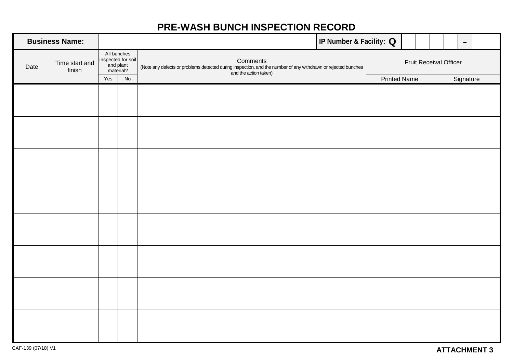## **PRE-WASH BUNCH INSPECTION RECORD**

<span id="page-21-0"></span>

| <b>Business Name:</b> |                          |     |                                                             | IP Number & Facility: Q                                                                                                                            |  |                     |  | $\blacksquare$         |  |  |
|-----------------------|--------------------------|-----|-------------------------------------------------------------|----------------------------------------------------------------------------------------------------------------------------------------------------|--|---------------------|--|------------------------|--|--|
| Date                  | Time start and<br>finish |     | All bunches<br>inspected for soil<br>and plant<br>material? | Comments<br>(Note any defects or problems detected during inspection, and the number of any withdrawn or rejected bunches<br>and the action taken) |  |                     |  | Fruit Receival Officer |  |  |
|                       |                          | Yes | No                                                          |                                                                                                                                                    |  | <b>Printed Name</b> |  | Signature              |  |  |
|                       |                          |     |                                                             |                                                                                                                                                    |  |                     |  |                        |  |  |
|                       |                          |     |                                                             |                                                                                                                                                    |  |                     |  |                        |  |  |
|                       |                          |     |                                                             |                                                                                                                                                    |  |                     |  |                        |  |  |
|                       |                          |     |                                                             |                                                                                                                                                    |  |                     |  |                        |  |  |
|                       |                          |     |                                                             |                                                                                                                                                    |  |                     |  |                        |  |  |
|                       |                          |     |                                                             |                                                                                                                                                    |  |                     |  |                        |  |  |
|                       |                          |     |                                                             |                                                                                                                                                    |  |                     |  |                        |  |  |
|                       |                          |     |                                                             |                                                                                                                                                    |  |                     |  |                        |  |  |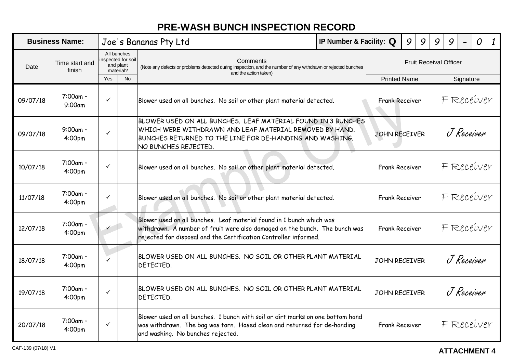## **PRE-WASH BUNCH INSPECTION RECORD**

<span id="page-22-0"></span>

| <b>Business Name:</b>            |                                   |                                                            |           | IP Number & Facility: Q<br>Joe's Bananas Pty Ltd                                                                                                                                                                       |                       |                       | 9<br>9     |            |                               | 9          | O | $\boldsymbol{\mathit{1}}$ |
|----------------------------------|-----------------------------------|------------------------------------------------------------|-----------|------------------------------------------------------------------------------------------------------------------------------------------------------------------------------------------------------------------------|-----------------------|-----------------------|------------|------------|-------------------------------|------------|---|---------------------------|
| Time start and<br>Date<br>finish |                                   | All bunches<br>nspected for soil<br>and plant<br>material? |           | Comments<br>(Note any defects or problems detected during inspection, and the number of any withdrawn or rejected bunches<br>and the action taken)                                                                     |                       |                       |            |            | <b>Fruit Receival Officer</b> |            |   |                           |
|                                  |                                   | Yes                                                        | <b>No</b> |                                                                                                                                                                                                                        |                       | <b>Printed Name</b>   |            |            |                               | Signature  |   |                           |
| 09/07/18                         | $7:00am -$<br>9:00am              | $\checkmark$                                               |           | Blower used on all bunches. No soil or other plant material detected.                                                                                                                                                  |                       | <b>Frank Receiver</b> |            | F Receiver |                               |            |   |                           |
| 09/07/18                         | $9:00$ am -<br>4:00pm             | $\checkmark$                                               |           | BLOWER USED ON ALL BUNCHES. LEAF MATERIAL FOUND IN 3 BUNCHES<br>WHICH WERE WITHDRAWN AND LEAF MATERIAL REMOVED BY HAND.<br>BUNCHES RETURNED TO THE LINE FOR DE-HANDING AND WASHING.<br>NO BUNCHES REJECTED.            | <b>JOHN RECEIVER</b>  |                       | J Receiver |            |                               |            |   |                           |
| 10/07/18                         | $7:00am -$<br>4:00pm              | $\checkmark$                                               |           | Blower used on all bunches. No soil or other plant material detected.                                                                                                                                                  | <b>Frank Receiver</b> |                       |            | F Receiver |                               |            |   |                           |
| 11/07/18                         | 7:00am -<br>4:00pm                | $\checkmark$                                               |           | Blower used on all bunches. No soil or other plant material detected.                                                                                                                                                  |                       | <b>Frank Receiver</b> |            | F Receiver |                               |            |   |                           |
| 12/07/18                         | $7:00$ am -<br>4:00pm             | $\checkmark$                                               |           | Blower used on all bunches. Leaf material found in 1 bunch which was<br>withdrawn. A number of fruit were also damaged on the bunch. The bunch was<br>rejected for disposal and the Certification Controller informed. |                       | <b>Frank Receiver</b> |            |            |                               | F Receiver |   |                           |
| 18/07/18                         | 7:00am -<br>4:00pm                | $\checkmark$                                               |           | BLOWER USED ON ALL BUNCHES. NO SOIL OR OTHER PLANT MATERIAL<br>DETECTED.                                                                                                                                               |                       | JOHN RECEIVER         |            |            | J Receiver                    |            |   |                           |
| 19/07/18                         | 7:00am -<br>4:00pm                | $\checkmark$                                               |           | BLOWER USED ON ALL BUNCHES. NO SOIL OR OTHER PLANT MATERIAL<br>DETECTED.                                                                                                                                               |                       | JOHN RECEIVER         |            |            | J Receiver                    |            |   |                           |
| 20/07/18                         | $7:00$ am -<br>4:00 <sub>pm</sub> | $\checkmark$                                               |           | Blower used on all bunches. 1 bunch with soil or dirt marks on one bottom hand<br>was withdrawn. The bag was torn. Hosed clean and returned for de-handing<br>and washing. No bunches rejected.                        |                       | <b>Frank Receiver</b> |            |            |                               | F Receiver |   |                           |

## **ATTACHMENT 4**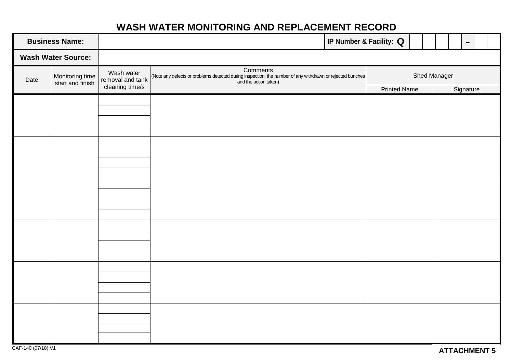## **WASH WATER MONITORING AND REPLACEMENT RECORD**

<span id="page-23-0"></span>

| <b>Business Name:</b> |                                     |                                                   |                                                                                                                                                | IP Number & Facility: Q |              |           | $\hbox{\small -}$ |  |  |  |
|-----------------------|-------------------------------------|---------------------------------------------------|------------------------------------------------------------------------------------------------------------------------------------------------|-------------------------|--------------|-----------|-------------------|--|--|--|
|                       | <b>Wash Water Source:</b>           |                                                   |                                                                                                                                                |                         |              |           |                   |  |  |  |
| Date                  | Monitoring time<br>start and finish | Wash water<br>removal and tank<br>cleaning time/s | Comments<br>(Note any defects or problems detected during inspection, the number of any withdrawn or rejected bunches<br>and the action taken) |                         | Shed Manager |           |                   |  |  |  |
|                       |                                     |                                                   |                                                                                                                                                | <b>Printed Name</b>     |              | Signature |                   |  |  |  |
|                       |                                     |                                                   |                                                                                                                                                |                         |              |           |                   |  |  |  |
|                       |                                     |                                                   |                                                                                                                                                |                         |              |           |                   |  |  |  |
|                       |                                     |                                                   |                                                                                                                                                |                         |              |           |                   |  |  |  |
|                       |                                     |                                                   |                                                                                                                                                |                         |              |           |                   |  |  |  |
|                       |                                     |                                                   |                                                                                                                                                |                         |              |           |                   |  |  |  |
|                       |                                     |                                                   |                                                                                                                                                |                         |              |           |                   |  |  |  |
|                       |                                     |                                                   |                                                                                                                                                |                         |              |           |                   |  |  |  |
|                       |                                     |                                                   |                                                                                                                                                |                         |              |           |                   |  |  |  |
|                       |                                     |                                                   |                                                                                                                                                |                         |              |           |                   |  |  |  |
|                       |                                     |                                                   |                                                                                                                                                |                         |              |           |                   |  |  |  |
|                       |                                     |                                                   |                                                                                                                                                |                         |              |           |                   |  |  |  |
|                       |                                     |                                                   |                                                                                                                                                |                         |              |           |                   |  |  |  |
|                       |                                     |                                                   |                                                                                                                                                |                         |              |           |                   |  |  |  |
|                       |                                     |                                                   |                                                                                                                                                |                         |              |           |                   |  |  |  |
|                       |                                     |                                                   |                                                                                                                                                |                         |              |           |                   |  |  |  |
|                       |                                     |                                                   |                                                                                                                                                |                         |              |           |                   |  |  |  |
|                       |                                     |                                                   |                                                                                                                                                |                         |              |           |                   |  |  |  |
|                       |                                     |                                                   |                                                                                                                                                |                         |              |           |                   |  |  |  |
|                       |                                     |                                                   |                                                                                                                                                |                         |              |           |                   |  |  |  |
|                       |                                     |                                                   |                                                                                                                                                |                         |              |           |                   |  |  |  |
|                       |                                     |                                                   |                                                                                                                                                |                         |              |           |                   |  |  |  |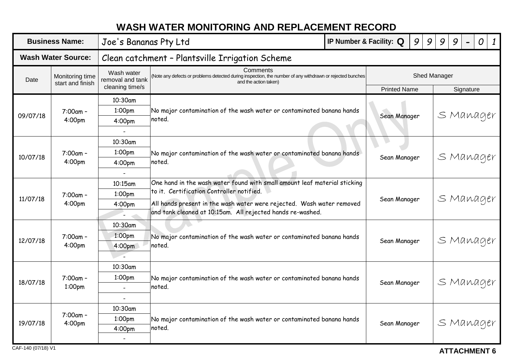## **WASH WATER MONITORING AND REPLACEMENT RECORD**

<span id="page-24-0"></span>

| <b>Business Name:</b> |                                     |                                                   | Joe's Bananas Pty Ltd                                                                                                                          | IP Number & Facility: Q                                                               |                     | 9<br>9       | 9         | 9         | $\overline{O}$ | $\boldsymbol{1}$ |  |  |  |  |  |  |  |  |
|-----------------------|-------------------------------------|---------------------------------------------------|------------------------------------------------------------------------------------------------------------------------------------------------|---------------------------------------------------------------------------------------|---------------------|--------------|-----------|-----------|----------------|------------------|--|--|--|--|--|--|--|--|
|                       | <b>Wash Water Source:</b>           | Clean catchment - Plantsville Irrigation Scheme   |                                                                                                                                                |                                                                                       |                     |              |           |           |                |                  |  |  |  |  |  |  |  |  |
| Date                  | Monitoring time<br>start and finish | Wash water<br>removal and tank<br>cleaning time/s | Comments<br>(Note any defects or problems detected during inspection, the number of any withdrawn or rejected bunches<br>and the action taken) |                                                                                       | <b>Printed Name</b> | Shed Manager |           | Signature |                |                  |  |  |  |  |  |  |  |  |
|                       |                                     | 10:30am                                           |                                                                                                                                                |                                                                                       |                     |              |           |           |                |                  |  |  |  |  |  |  |  |  |
|                       | $7:00am -$                          | 1:00pm                                            | No major contamination of the wash water or contaminated banana hands                                                                          |                                                                                       |                     |              |           |           |                |                  |  |  |  |  |  |  |  |  |
| 09/07/18              | 4:00pm                              | 4:00 <sub>pm</sub>                                | noted.                                                                                                                                         |                                                                                       | Sean Manager        |              |           | S Manager |                |                  |  |  |  |  |  |  |  |  |
|                       |                                     |                                                   |                                                                                                                                                |                                                                                       |                     |              |           |           |                |                  |  |  |  |  |  |  |  |  |
|                       |                                     | 10:30am                                           |                                                                                                                                                |                                                                                       |                     |              |           |           |                |                  |  |  |  |  |  |  |  |  |
|                       | 7:00am -                            | 1:00pm                                            | No major contamination of the wash water or contaminated banana hands                                                                          |                                                                                       |                     |              |           | S Manager |                |                  |  |  |  |  |  |  |  |  |
| 10/07/18              | 4:00pm                              | 4:00pm                                            | noted.                                                                                                                                         |                                                                                       | Sean Manager        |              |           |           |                |                  |  |  |  |  |  |  |  |  |
|                       |                                     |                                                   |                                                                                                                                                |                                                                                       |                     |              |           |           |                |                  |  |  |  |  |  |  |  |  |
|                       |                                     | 10:15am                                           | One hand in the wash water found with small amount leaf material sticking                                                                      |                                                                                       |                     |              |           |           |                |                  |  |  |  |  |  |  |  |  |
| 11/07/18              | 7:00am -                            | 1:00pm                                            | to it. Certification Controller notified.                                                                                                      |                                                                                       |                     |              |           |           |                |                  |  |  |  |  |  |  |  |  |
|                       | 4:00pm                              | 4:00pm                                            | All hands present in the wash water were rejected. Wash water removed                                                                          | Sean Manager                                                                          |                     | S Manager    |           |           |                |                  |  |  |  |  |  |  |  |  |
|                       |                                     |                                                   | and tank cleaned at 10:15am. All rejected hands re-washed.                                                                                     |                                                                                       |                     |              |           |           |                |                  |  |  |  |  |  |  |  |  |
|                       |                                     | 10:30am                                           |                                                                                                                                                |                                                                                       |                     |              |           |           |                |                  |  |  |  |  |  |  |  |  |
| 12/07/18              | 7:00am -                            | 1:00pm                                            | No major contamination of the wash water or contaminated banana hands                                                                          |                                                                                       |                     |              |           | S Manager |                |                  |  |  |  |  |  |  |  |  |
|                       | 4:00pm                              | 4:00 <sub>pm</sub>                                | noted.                                                                                                                                         |                                                                                       |                     | Sean Manager |           |           |                |                  |  |  |  |  |  |  |  |  |
|                       |                                     |                                                   |                                                                                                                                                |                                                                                       |                     |              |           |           |                |                  |  |  |  |  |  |  |  |  |
|                       |                                     | 10:30am                                           |                                                                                                                                                |                                                                                       |                     |              |           |           |                |                  |  |  |  |  |  |  |  |  |
| 18/07/18              | 7:00am -                            | 1:00pm                                            |                                                                                                                                                | No major contamination of the wash water or contaminated banana hands<br>Sean Manager |                     |              |           | S Manager |                |                  |  |  |  |  |  |  |  |  |
|                       | 1:00pm                              |                                                   | noted.                                                                                                                                         |                                                                                       |                     |              |           |           |                |                  |  |  |  |  |  |  |  |  |
|                       |                                     |                                                   |                                                                                                                                                |                                                                                       |                     |              |           |           |                |                  |  |  |  |  |  |  |  |  |
|                       | $7:00am -$                          | 10:30am                                           |                                                                                                                                                |                                                                                       |                     |              |           |           |                |                  |  |  |  |  |  |  |  |  |
| 19/07/18              | 4:00pm                              | 1:00pm                                            |                                                                                                                                                | No major contamination of the wash water or contaminated banana hands<br>Sean Manager |                     |              | S Manager |           |                |                  |  |  |  |  |  |  |  |  |
|                       |                                     | 4:00pm                                            | noted.                                                                                                                                         |                                                                                       |                     |              |           |           |                |                  |  |  |  |  |  |  |  |  |
|                       |                                     | $\blacksquare$                                    |                                                                                                                                                |                                                                                       |                     |              |           |           |                |                  |  |  |  |  |  |  |  |  |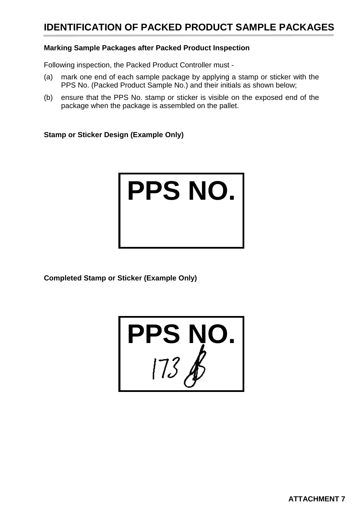## <span id="page-25-0"></span>**IDENTIFICATION OF PACKED PRODUCT SAMPLE PACKAGES**

## **Marking Sample Packages after Packed Product Inspection**

Following inspection, the Packed Product Controller must -

- (a) mark one end of each sample package by applying a stamp or sticker with the PPS No. (Packed Product Sample No.) and their initials as shown below;
- (b) ensure that the PPS No. stamp or sticker is visible on the exposed end of the package when the package is assembled on the pallet.

**Stamp or Sticker Design (Example Only)**



**Completed Stamp or Sticker (Example Only)**

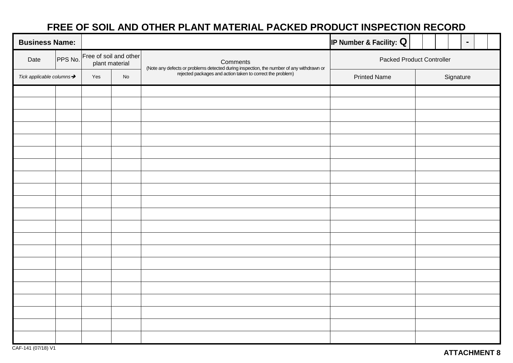## **FREE OF SOIL AND OTHER PLANT MATERIAL PACKED PRODUCT INSPECTION RECORD**

<span id="page-26-0"></span>

| <b>Business Name:</b>                 |         |                                          |  |                                                                                                                                                     | IP Number & Facility: $Q$        | $\blacksquare$ |  |  |  |  |  |
|---------------------------------------|---------|------------------------------------------|--|-----------------------------------------------------------------------------------------------------------------------------------------------------|----------------------------------|----------------|--|--|--|--|--|
| Date                                  | PPS No. | Free of soil and other<br>plant material |  | Comments                                                                                                                                            | <b>Packed Product Controller</b> |                |  |  |  |  |  |
| Tick applicable columns $\rightarrow$ |         | Yes<br>No                                |  | (Note any defects or problems detected during inspection, the number of any withdrawn or rejected packages and action taken to correct the problem) | <b>Printed Name</b>              | Signature      |  |  |  |  |  |
|                                       |         |                                          |  |                                                                                                                                                     |                                  |                |  |  |  |  |  |
|                                       |         |                                          |  |                                                                                                                                                     |                                  |                |  |  |  |  |  |
|                                       |         |                                          |  |                                                                                                                                                     |                                  |                |  |  |  |  |  |
|                                       |         |                                          |  |                                                                                                                                                     |                                  |                |  |  |  |  |  |
|                                       |         |                                          |  |                                                                                                                                                     |                                  |                |  |  |  |  |  |
|                                       |         |                                          |  |                                                                                                                                                     |                                  |                |  |  |  |  |  |
|                                       |         |                                          |  |                                                                                                                                                     |                                  |                |  |  |  |  |  |
|                                       |         |                                          |  |                                                                                                                                                     |                                  |                |  |  |  |  |  |
|                                       |         |                                          |  |                                                                                                                                                     |                                  |                |  |  |  |  |  |
|                                       |         |                                          |  |                                                                                                                                                     |                                  |                |  |  |  |  |  |
|                                       |         |                                          |  |                                                                                                                                                     |                                  |                |  |  |  |  |  |
|                                       |         |                                          |  |                                                                                                                                                     |                                  |                |  |  |  |  |  |
|                                       |         |                                          |  |                                                                                                                                                     |                                  |                |  |  |  |  |  |
|                                       |         |                                          |  |                                                                                                                                                     |                                  |                |  |  |  |  |  |
|                                       |         |                                          |  |                                                                                                                                                     |                                  |                |  |  |  |  |  |
|                                       |         |                                          |  |                                                                                                                                                     |                                  |                |  |  |  |  |  |
|                                       |         |                                          |  |                                                                                                                                                     |                                  |                |  |  |  |  |  |
|                                       |         |                                          |  |                                                                                                                                                     |                                  |                |  |  |  |  |  |
|                                       |         |                                          |  |                                                                                                                                                     |                                  |                |  |  |  |  |  |
|                                       |         |                                          |  |                                                                                                                                                     |                                  |                |  |  |  |  |  |
|                                       |         |                                          |  |                                                                                                                                                     |                                  |                |  |  |  |  |  |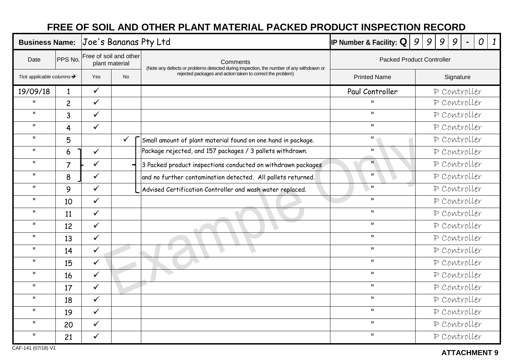## **FREE OF SOIL AND OTHER PLANT MATERIAL PACKED PRODUCT INSPECTION RECORD**

<span id="page-27-0"></span>

| <b>Business Name:</b>    |                |                                          |              | Joe's Bananas Pty Ltd                                                                                | IP Number & Facility: $Q$        | 9<br>9<br>9<br>9<br>0<br>$\mathbf{1}$ |  |  |  |  |  |  |
|--------------------------|----------------|------------------------------------------|--------------|------------------------------------------------------------------------------------------------------|----------------------------------|---------------------------------------|--|--|--|--|--|--|
| Date                     | PPS No.        | Free of soil and other<br>plant material |              | Comments<br>(Note any defects or problems detected during inspection, the number of any withdrawn or | <b>Packed Product Controller</b> |                                       |  |  |  |  |  |  |
| Tick applicable columns→ |                | <b>Yes</b><br><b>No</b>                  |              | rejected packages and action taken to correct the problem)                                           | <b>Printed Name</b>              | Signature                             |  |  |  |  |  |  |
| 19/09/18                 | $\mathbf{1}$   | $\checkmark$                             |              |                                                                                                      | Paul Controller                  | P Controller                          |  |  |  |  |  |  |
| $\mathbf{u}$             | $\overline{c}$ | $\checkmark$                             |              |                                                                                                      | $\mathbf{u}$                     | P Controller                          |  |  |  |  |  |  |
| $\mathbf{u}$             | 3              | $\checkmark$                             |              |                                                                                                      | $\mathbf{u}$                     | P Controller                          |  |  |  |  |  |  |
| $\mathbf{H}$             | 4              | $\checkmark$                             |              |                                                                                                      | $\mathbf{u}$                     | P Controller                          |  |  |  |  |  |  |
| $\mathbf{H}$             | 5              |                                          | $\checkmark$ | Small amount of plant material found on one hand in package.                                         | $\mathbf{H}$                     | P Controller                          |  |  |  |  |  |  |
| $\mathbf{H}$             | 6              | $\checkmark$                             |              | Package rejected, and 157 packages / 3 pallets withdrawn.                                            | $\mathbf{H}$                     | P Controller                          |  |  |  |  |  |  |
| $\mathbf{H}$             | $\overline{7}$ | $\checkmark$                             |              | 3 Packed product inspections conducted on withdrawn packages                                         | $\mathbf{H}^-$                   | P Controller                          |  |  |  |  |  |  |
| $\mathbf{H}$             | 8              | $\checkmark$                             |              | and no further contamination detected. All pallets returned.                                         | $\mathbf{H}$                     | P Controller                          |  |  |  |  |  |  |
| $\mathbf{H}$             | 9              | $\checkmark$                             |              | Advised Certification Controller and wash water replaced.                                            | $\mathbf{u}$                     | P Controller                          |  |  |  |  |  |  |
| $\mathbf{H}$             | 10             | $\checkmark$                             |              |                                                                                                      | $\mathbf{u}$                     | P Controller                          |  |  |  |  |  |  |
| $\mathbf{H}$             | 11             | $\checkmark$                             |              |                                                                                                      | $\mathbf{u}$                     | P Controller                          |  |  |  |  |  |  |
| $\mathbf{H}$             | 12             | $\checkmark$                             |              | $\rightarrow$                                                                                        | $\mathbf{u}$                     | P Controller                          |  |  |  |  |  |  |
| $\mathbf{H}$             | 13             | $\checkmark$                             |              |                                                                                                      | $\mathbf{H}$                     | P Controller                          |  |  |  |  |  |  |
| $\mathbf{H}$             | 14             | $\checkmark$                             |              |                                                                                                      | $\mathbf{u}$                     | P Controller                          |  |  |  |  |  |  |
| $\mathbf{u}$             | 15             | $\checkmark$                             |              |                                                                                                      | $\mathbf{u}$                     | P Controller                          |  |  |  |  |  |  |
| $\mathbf{H}$             | 16             | $\checkmark$                             |              |                                                                                                      | $\mathbf{H}$                     | P Controller                          |  |  |  |  |  |  |
| $\mathbf{H}$             | 17             | $\checkmark$                             |              |                                                                                                      | $\mathbf{u}$                     | P Controller                          |  |  |  |  |  |  |
| $\mathbf{H}$             | 18             | $\checkmark$                             |              |                                                                                                      | $\mathbf{H}$                     | P Controller                          |  |  |  |  |  |  |
| $\mathbf{H}$             | 19             | $\checkmark$                             |              |                                                                                                      | $\mathbf{H}$                     | P Controller                          |  |  |  |  |  |  |
| $\mathbf{H}$             | 20             | $\checkmark$                             |              |                                                                                                      | $\mathbf{H}$                     | P Controller                          |  |  |  |  |  |  |
| $\mathbf{u}$             | 21             | $\checkmark$                             |              |                                                                                                      | $\mathbf{u}$                     | P Controller                          |  |  |  |  |  |  |